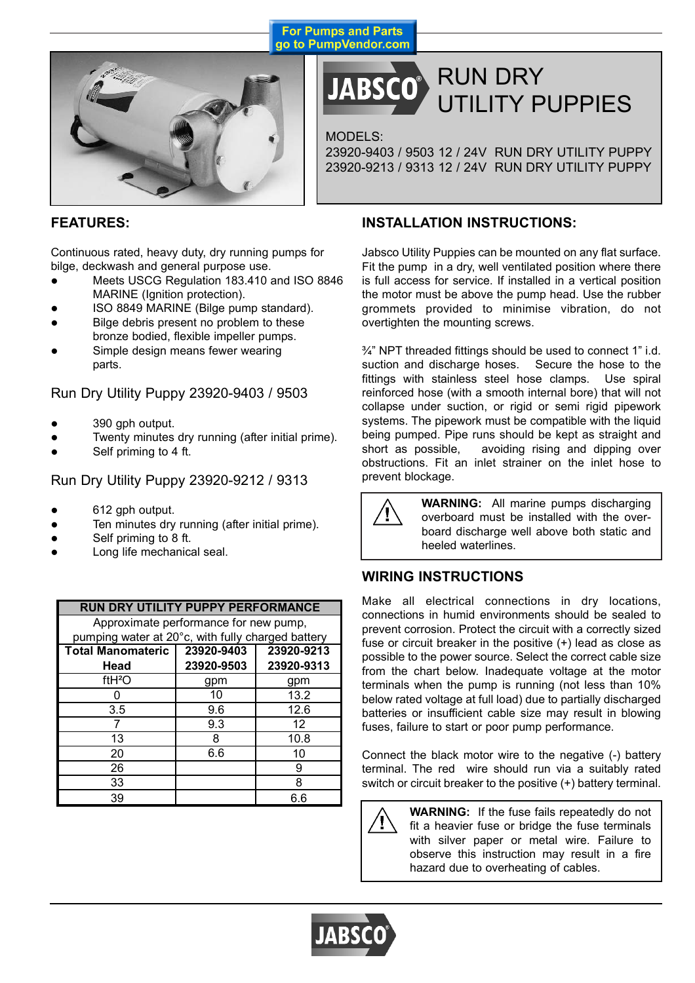



## RUN DRY UTILITY PUPPIES

MODELS:

23920-9403 / 9503 12 / 24V RUN DRY UTILITY PUPPY 23920-9213 / 9313 12 / 24V RUN DRY UTILITY PUPPY

## **FEATURES:**

Continuous rated, heavy duty, dry running pumps for bilge, deckwash and general purpose use.

- Meets USCG Regulation 183.410 and ISO 8846 MARINE (Ignition protection).
- ISO 8849 MARINE (Bilge pump standard).
- Bilge debris present no problem to these bronze bodied, flexible impeller pumps.
- Simple design means fewer wearing parts.

Run Dry Utility Puppy 23920-9403 / 9503

- 390 gph output.
- Twenty minutes dry running (after initial prime).
- Self priming to 4 ft.

Run Dry Utility Puppy 23920-9212 / 9313

- 612 gph output.
- Ten minutes dry running (after initial prime).
- Self priming to 8 ft.
- Long life mechanical seal.

| <b>RUN DRY UTILITY PUPPY PERFORMANCE</b>          |            |            |  |  |  |
|---------------------------------------------------|------------|------------|--|--|--|
| Approximate performance for new pump,             |            |            |  |  |  |
| pumping water at 20°c, with fully charged battery |            |            |  |  |  |
| Total Manomateric   23920-9403                    |            | 23920-9213 |  |  |  |
| Head                                              | 23920-9503 | 23920-9313 |  |  |  |
| ftH <sup>2</sup> O                                | gpm        | gpm        |  |  |  |
|                                                   | 10         | 13.2       |  |  |  |
| 3.5                                               | 9.6        | 12.6       |  |  |  |
|                                                   | 9.3        | 12         |  |  |  |
| 13                                                | 8          | 10.8       |  |  |  |
| 20                                                | 6.6        | 10         |  |  |  |
| 26                                                |            | 9          |  |  |  |
| 33                                                |            | 8          |  |  |  |
| 39                                                |            | 6.6        |  |  |  |

## **INSTALLATION INSTRUCTIONS:**

Jabsco Utility Puppies can be mounted on any flat surface. Fit the pump in a dry, well ventilated position where there is full access for service. If installed in a vertical position the motor must be above the pump head. Use the rubber grommets provided to minimise vibration, do not overtighten the mounting screws.

 $\frac{3}{4}$ " NPT threaded fittings should be used to connect 1" i.d. suction and discharge hoses. Secure the hose to the fittings with stainless steel hose clamps. Use spiral reinforced hose (with a smooth internal bore) that will not collapse under suction, or rigid or semi rigid pipework systems. The pipework must be compatible with the liquid being pumped. Pipe runs should be kept as straight and short as possible, avoiding rising and dipping over obstructions. Fit an inlet strainer on the inlet hose to prevent blockage.



**WARNING:** All marine pumps discharging overboard must be installed with the overboard discharge well above both static and heeled waterlines.

## **WIRING INSTRUCTIONS**

Make all electrical connections in dry locations, connections in humid environments should be sealed to prevent corrosion. Protect the circuit with a correctly sized fuse or circuit breaker in the positive (+) lead as close as possible to the power source. Select the correct cable size from the chart below. Inadequate voltage at the motor terminals when the pump is running (not less than 10% below rated voltage at full load) due to partially discharged batteries or insufficient cable size may result in blowing fuses, failure to start or poor pump performance.

Connect the black motor wire to the negative (-) battery terminal. The red wire should run via a suitably rated switch or circuit breaker to the positive (+) battery terminal.

**WARNING:** If the fuse fails repeatedly do not fit a heavier fuse or bridge the fuse terminals with silver paper or metal wire. Failure to observe this instruction may result in a fire hazard due to overheating of cables.